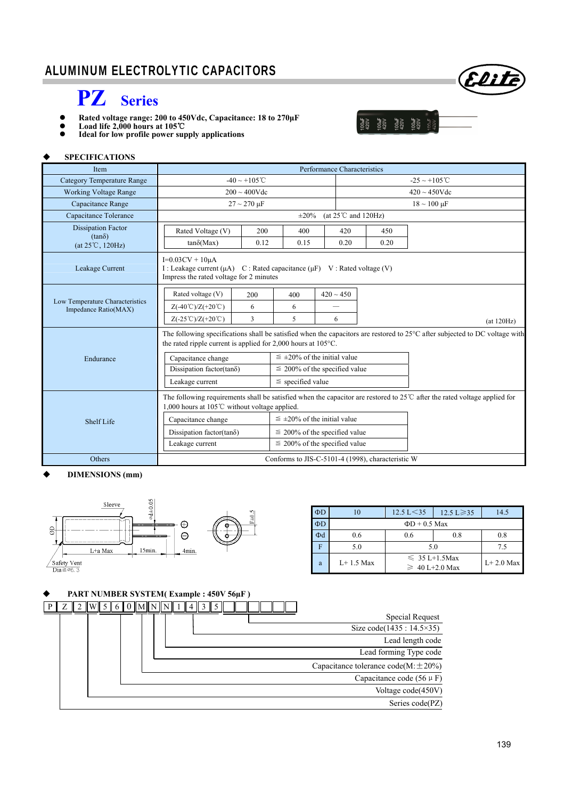# ALUMINUM ELECTROLYTIC CAPACITORS



- **Rated voltage range: 200 to 450Vdc, Capacitance: 18 to 270μF**
- **Load life 2,000 hours at 105**℃





Elite

#### **SPECIFICATIONS**

I

| <b>Item</b>                                             |                                                                                                                                                                                                                    |                                    |                                      |                                  |                           |                    |                       |  |  |
|---------------------------------------------------------|--------------------------------------------------------------------------------------------------------------------------------------------------------------------------------------------------------------------|------------------------------------|--------------------------------------|----------------------------------|---------------------------|--------------------|-----------------------|--|--|
| <b>Category Temperature Range</b>                       |                                                                                                                                                                                                                    | $-40 \sim +105^{\circ}$ C          |                                      |                                  | $-25 \sim +105^{\circ}$ C |                    |                       |  |  |
| <b>Working Voltage Range</b>                            | $200 \sim 400$ Vdc                                                                                                                                                                                                 |                                    |                                      |                                  |                           | $420 \sim 450$ Vdc |                       |  |  |
| Capacitance Range                                       |                                                                                                                                                                                                                    | $27 \sim 270 \,\mu F$              |                                      |                                  |                           |                    | $18 \sim 100 \,\mu F$ |  |  |
| Capacitance Tolerance                                   |                                                                                                                                                                                                                    |                                    | $\pm 20\%$                           | (at $25^{\circ}$ C and $120$ Hz) |                           |                    |                       |  |  |
| <b>Dissipation Factor</b>                               | Rated Voltage (V)                                                                                                                                                                                                  | 200                                | 400                                  | 420                              |                           | 450                |                       |  |  |
| $(tan\delta)$<br>$(at 25^{\circ}C, 120Hz)$              | $tan\delta(Max)$                                                                                                                                                                                                   | 0.12                               | 0.15                                 | 0.20                             |                           | 0.20               |                       |  |  |
| Leakage Current                                         | $I=0.03CV + 10\mu A$<br>I : Leakage current $(\mu A)$<br>C : Rated capacitance $(\mu F)$ V : Rated voltage (V)<br>Impress the rated voltage for 2 minutes                                                          |                                    |                                      |                                  |                           |                    |                       |  |  |
|                                                         | Rated voltage (V)                                                                                                                                                                                                  | 200                                | 400                                  | $420 \sim 450$                   |                           |                    |                       |  |  |
| Low Temperature Characteristics<br>Impedance Ratio(MAX) | $Z(-40^{\circ}\text{C})/Z(+20^{\circ}\text{C})$                                                                                                                                                                    | 6                                  | 6                                    |                                  |                           |                    |                       |  |  |
|                                                         | $Z(-25^{\circ}\text{C})/Z(+20^{\circ}\text{C})$                                                                                                                                                                    | 3                                  | 5                                    | 6                                |                           |                    | (at 120Hz)            |  |  |
|                                                         | The following specifications shall be satisfied when the capacitors are restored to $25^{\circ}$ C after subjected to DC voltage with<br>the rated ripple current is applied for $2,000$ hours at $105^{\circ}$ C. |                                    |                                      |                                  |                           |                    |                       |  |  |
| Endurance                                               | Capacitance change                                                                                                                                                                                                 |                                    | $\leq \pm 20\%$ of the initial value |                                  |                           |                    |                       |  |  |
|                                                         | Dissipation factor(tan $\delta$ )                                                                                                                                                                                  | $\leq$ 200% of the specified value |                                      |                                  |                           |                    |                       |  |  |
|                                                         | Leakage current                                                                                                                                                                                                    | $\le$ specified value              |                                      |                                  |                           |                    |                       |  |  |
|                                                         | The following requirements shall be satisfied when the capacitor are restored to $25^{\circ}$ after the rated voltage applied for<br>1,000 hours at 105℃ without voltage applied.                                  |                                    |                                      |                                  |                           |                    |                       |  |  |
| Shelf Life                                              | Capacitance change                                                                                                                                                                                                 |                                    | $\leq \pm 20\%$ of the initial value |                                  |                           |                    |                       |  |  |
|                                                         | Dissipation factor(tan $\delta$ )                                                                                                                                                                                  | $\leq$ 200% of the specified value |                                      |                                  |                           |                    |                       |  |  |
|                                                         | Leakage current                                                                                                                                                                                                    | $\leq$ 200% of the specified value |                                      |                                  |                           |                    |                       |  |  |
| Others                                                  | Conforms to JIS-C-5101-4 (1998), characteristic W                                                                                                                                                                  |                                    |                                      |                                  |                           |                    |                       |  |  |

#### **DIMENSIONS (mm)**



| $\Phi$ D | 10            | $12.5 \text{ L} < 35$                     | $12.5 \text{ L} \geq 35$ | 14.5 |  |  |  |  |
|----------|---------------|-------------------------------------------|--------------------------|------|--|--|--|--|
| ΦD       |               | $\Phi$ D + 0.5 Max                        |                          |      |  |  |  |  |
| Φd       | 0.6           | 0.6                                       | 0.8                      | 0.8  |  |  |  |  |
|          | 5.0           | 5.0                                       | 75                       |      |  |  |  |  |
| a        | $I + 1.5$ Max | $\leq 35$ L+1.5Max<br>$\geq 40$ L+2.0 Max | $L+2.0$ Max              |      |  |  |  |  |

#### **PART NUMBER SYSTEM( Example : 450V 56µF )**

|                                             |  | $0$    M    N    N    1    4    3 |  | $\ W\ $ 5   6 |  |  |
|---------------------------------------------|--|-----------------------------------|--|---------------|--|--|
| <b>Special Request</b>                      |  |                                   |  |               |  |  |
| Size $code(1435 : 14.5 \times 35)$          |  |                                   |  |               |  |  |
| Lead length code                            |  |                                   |  |               |  |  |
| Lead forming Type code                      |  |                                   |  |               |  |  |
| Capacitance tolerance code( $M: \pm 20\%$ ) |  |                                   |  |               |  |  |
| Capacitance code $(56 \mu F)$               |  |                                   |  |               |  |  |
| Voltage code(450V)                          |  |                                   |  |               |  |  |
| Series code(PZ)                             |  |                                   |  |               |  |  |